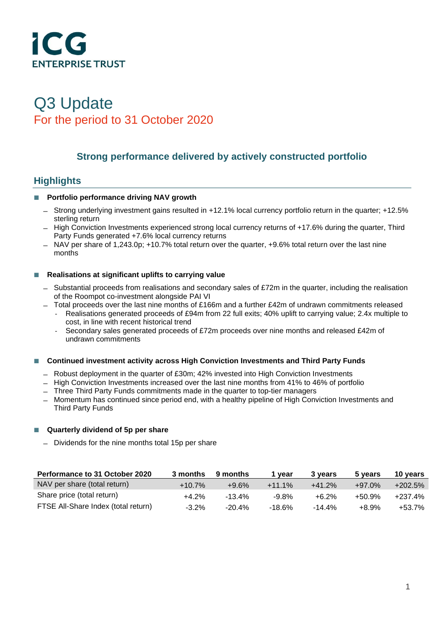

# Q3 Update For the period to 31 October 2020

# **Strong performance delivered by actively constructed portfolio**

# **Highlights**

### **Portfolio performance driving NAV growth**

- ̶ Strong underlying investment gains resulted in +12.1% local currency portfolio return in the quarter; +12.5% sterling return
- ̶ High Conviction Investments experienced strong local currency returns of +17.6% during the quarter, Third Party Funds generated +7.6% local currency returns
- ̶ NAV per share of 1,243.0p; +10.7% total return over the quarter, +9.6% total return over the last nine months

### ■ Realisations at significant uplifts to carrying value

- ̶ Substantial proceeds from realisations and secondary sales of £72m in the quarter, including the realisation of the Roompot co-investment alongside PAI VI
- $-$  Total proceeds over the last nine months of £166m and a further £42m of undrawn commitments released
	- Realisations generated proceeds of £94m from 22 full exits; 40% uplift to carrying value; 2.4x multiple to cost, in line with recent historical trend
	- Secondary sales generated proceeds of £72m proceeds over nine months and released £42m of undrawn commitments

### **Continued investment activity across High Conviction Investments and Third Party Funds**

- ̶ Robust deployment in the quarter of £30m; 42% invested into High Conviction Investments
- ̶ High Conviction Investments increased over the last nine months from 41% to 46% of portfolio
- ̶ Three Third Party Funds commitments made in the quarter to top-tier managers
- ̶ Momentum has continued since period end, with a healthy pipeline of High Conviction Investments and Third Party Funds

### **Quarterly dividend of 5p per share**

̶ Dividends for the nine months total 15p per share

| Performance to 31 October 2020      | 3 months  | 9 months  | vear      | 3 vears   | 5 years   | 10 years   |
|-------------------------------------|-----------|-----------|-----------|-----------|-----------|------------|
| NAV per share (total return)        | $+10.7\%$ | $+9.6%$   | $+11.1\%$ | $+41.2%$  | $+97.0\%$ | $+202.5\%$ |
| Share price (total return)          | $+4.2%$   | $-13.4\%$ | $-9.8\%$  | $+6.2%$   | $+50.9%$  | $+237.4%$  |
| FTSE All-Share Index (total return) | $-3.2\%$  | $-20.4\%$ | $-18.6\%$ | $-14.4\%$ | $+8.9\%$  | +53.7%     |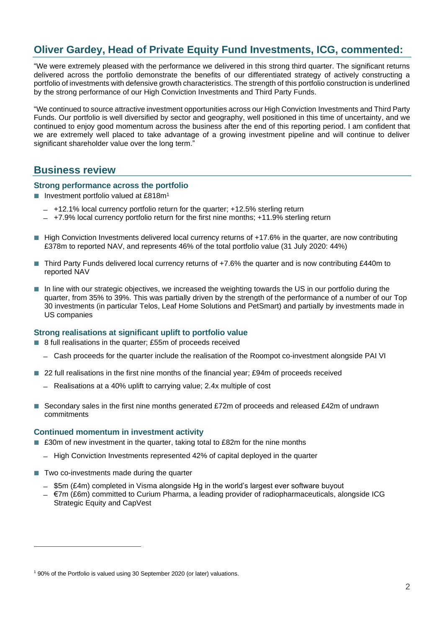# **Oliver Gardey, Head of Private Equity Fund Investments, ICG, commented:**

"We were extremely pleased with the performance we delivered in this strong third quarter. The significant returns delivered across the portfolio demonstrate the benefits of our differentiated strategy of actively constructing a portfolio of investments with defensive growth characteristics. The strength of this portfolio construction is underlined by the strong performance of our High Conviction Investments and Third Party Funds.

"We continued to source attractive investment opportunities across our High Conviction Investments and Third Party Funds. Our portfolio is well diversified by sector and geography, well positioned in this time of uncertainty, and we continued to enjoy good momentum across the business after the end of this reporting period. I am confident that we are extremely well placed to take advantage of a growing investment pipeline and will continue to deliver significant shareholder value over the long term."

# **Business review**

### **Strong performance across the portfolio**

- **Investment portfolio valued at £818m<sup>1</sup>** 
	- ̶ +12.1% local currency portfolio return for the quarter; +12.5% sterling return
	- ̶ +7.9% local currency portfolio return for the first nine months; +11.9% sterling return
- High Conviction Investments delivered local currency returns of +17.6% in the quarter, are now contributing £378m to reported NAV, and represents 46% of the total portfolio value (31 July 2020: 44%)
- Third Party Funds delivered local currency returns of +7.6% the quarter and is now contributing £440m to reported NAV
- In line with our strategic objectives, we increased the weighting towards the US in our portfolio during the quarter, from 35% to 39%. This was partially driven by the strength of the performance of a number of our Top 30 investments (in particular Telos, Leaf Home Solutions and PetSmart) and partially by investments made in US companies

### **Strong realisations at significant uplift to portfolio value**

- 8 full realisations in the quarter: £55m of proceeds received
	- ̶ Cash proceeds for the quarter include the realisation of the Roompot co-investment alongside PAI VI
- 22 full realisations in the first nine months of the financial year; £94m of proceeds received
	- ̶ Realisations at a 40% uplift to carrying value; 2.4x multiple of cost
- Secondary sales in the first nine months generated  $£72m$  of proceeds and released  $£42m$  of undrawn commitments

#### **Continued momentum in investment activity**

- £30m of new investment in the quarter, taking total to £82m for the nine months
	- ̶ High Conviction Investments represented 42% of capital deployed in the quarter
- $\blacksquare$  Two co-investments made during the quarter
	- ̶ \$5m (£4m) completed in Visma alongside Hg in the world's largest ever software buyout
	- ̶ €7m (£6m) committed to Curium Pharma, a leading provider of radiopharmaceuticals, alongside ICG Strategic Equity and CapVest

<sup>&</sup>lt;sup>1</sup> 90% of the Portfolio is valued using 30 September 2020 (or later) valuations.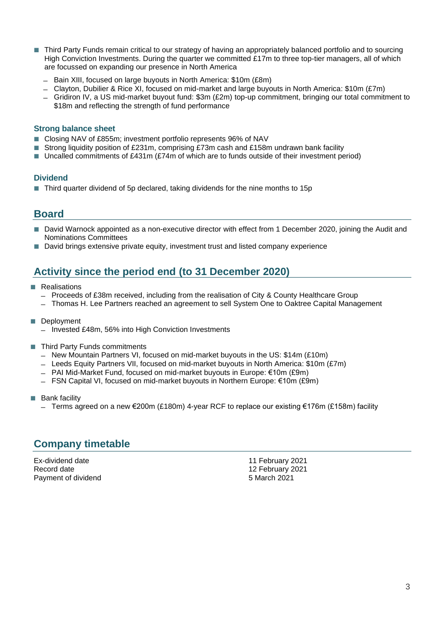- Third Party Funds remain critical to our strategy of having an appropriately balanced portfolio and to sourcing High Conviction Investments. During the quarter we committed £17m to three top-tier managers, all of which are focussed on expanding our presence in North America
	- ̶ Bain XIII, focused on large buyouts in North America: \$10m (£8m)
	- ̶ Clayton, Dubilier & Rice XI, focused on mid-market and large buyouts in North America: \$10m (£7m)
	- ̶ Gridiron IV, a US mid-market buyout fund: \$3m (£2m) top-up commitment, bringing our total commitment to \$18m and reflecting the strength of fund performance

### **Strong balance sheet**

- Closing NAV of £855m; investment portfolio represents 96% of NAV
- Strong liquidity position of £231m, comprising £73m cash and £158m undrawn bank facility
- Uncalled commitments of £431m (£74m of which are to funds outside of their investment period)

### **Dividend**

■ Third quarter dividend of 5p declared, taking dividends for the nine months to 15p

# **Board**

- David Warnock appointed as a non-executive director with effect from 1 December 2020, joining the Audit and Nominations Committees
- David brings extensive private equity, investment trust and listed company experience

# **Activity since the period end (to 31 December 2020)**

- **Realisations** 
	- ̶ Proceeds of £38m received, including from the realisation of City & County Healthcare Group
	- ̶ Thomas H. Lee Partners reached an agreement to sell System One to Oaktree Capital Management
- Deployment
	- ̶ Invested £48m, 56% into High Conviction Investments
- Third Party Funds commitments
	- ̶ New Mountain Partners VI, focused on mid-market buyouts in the US: \$14m (£10m)
	- ̶ Leeds Equity Partners VII, focused on mid-market buyouts in North America: \$10m (£7m)
	- ̶ PAI Mid-Market Fund, focused on mid-market buyouts in Europe: €10m (£9m)
	- ̶ FSN Capital VI, focused on mid-market buyouts in Northern Europe: €10m (£9m)
- **Bank facility** 
	- ̶ Terms agreed on a new €200m (£180m) 4-year RCF to replace our existing €176m (£158m) facility

# **Company timetable**

Ex-dividend date 11 February 2021<br>
Record date 12 February 2021 Payment of dividend

12 February 2021<br>5 March 2021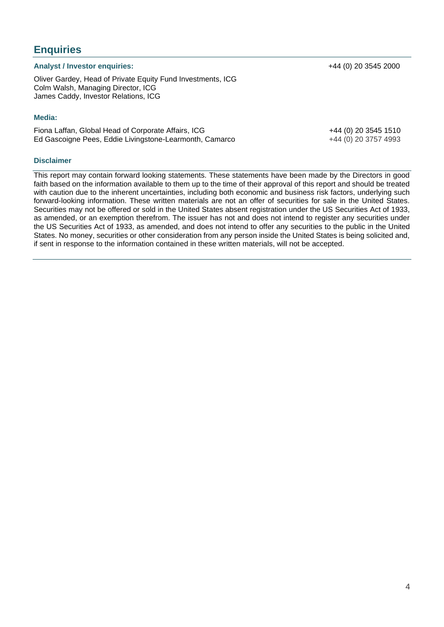Oliver Gardey, Head of Private Equity Fund Investments, ICG Colm Walsh, Managing Director, ICG James Caddy, Investor Relations, ICG

#### **Media:**

**Enquiries**

Fiona Laffan, Global Head of Corporate Affairs, ICG  $+44$  (0) 20 3545 1510 Ed Gascoigne Pees, Eddie Livingstone-Learmonth, Camarco +44 (0) 20 3757 4993

#### **Disclaimer**

This report may contain forward looking statements. These statements have been made by the Directors in good faith based on the information available to them up to the time of their approval of this report and should be treated with caution due to the inherent uncertainties, including both economic and business risk factors, underlying such forward-looking information. These written materials are not an offer of securities for sale in the United States. Securities may not be offered or sold in the United States absent registration under the US Securities Act of 1933, as amended, or an exemption therefrom. The issuer has not and does not intend to register any securities under the US Securities Act of 1933, as amended, and does not intend to offer any securities to the public in the United States. No money, securities or other consideration from any person inside the United States is being solicited and, if sent in response to the information contained in these written materials, will not be accepted.

**Analyst / Investor enquiries:** +44 (0) 20 3545 2000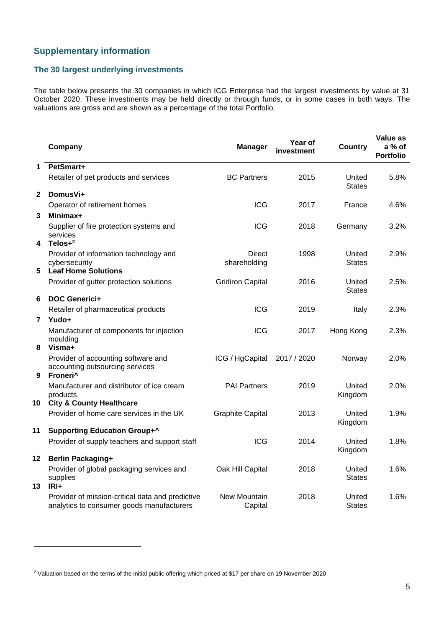# **Supplementary information**

# **The 30 largest underlying investments**

The table below presents the 30 companies in which ICG Enterprise had the largest investments by value at 31 October 2020. These investments may be held directly or through funds, or in some cases in both ways. The valuations are gross and are shown as a percentage of the total Portfolio.

|              | Company                                                                                        | <b>Manager</b>                 | Year of<br>investment | <b>Country</b>          | Value as<br>a % of<br><b>Portfolio</b> |
|--------------|------------------------------------------------------------------------------------------------|--------------------------------|-----------------------|-------------------------|----------------------------------------|
| 1            | PetSmart+                                                                                      |                                |                       |                         |                                        |
|              | Retailer of pet products and services                                                          | <b>BC Partners</b>             | 2015                  | United<br><b>States</b> | 5.8%                                   |
| $\mathbf{2}$ | DomusVi+                                                                                       |                                |                       |                         |                                        |
|              | Operator of retirement homes                                                                   | <b>ICG</b>                     | 2017                  | France                  | 4.6%                                   |
| 3            | Minimax+                                                                                       |                                |                       |                         |                                        |
| 4            | Supplier of fire protection systems and<br>services<br>Telos $+2$                              | <b>ICG</b>                     | 2018                  | Germany                 | 3.2%                                   |
| 5            | Provider of information technology and<br>cybersecurity<br><b>Leaf Home Solutions</b>          | Direct<br>shareholding         | 1998                  | United<br><b>States</b> | 2.9%                                   |
|              | Provider of gutter protection solutions                                                        | <b>Gridiron Capital</b>        | 2016                  | United<br><b>States</b> | 2.5%                                   |
| 6            | <b>DOC Generici+</b>                                                                           |                                |                       |                         |                                        |
|              | Retailer of pharmaceutical products                                                            | <b>ICG</b>                     | 2019                  | Italy                   | 2.3%                                   |
| 7            | Yudo+                                                                                          |                                |                       |                         |                                        |
| 8            | Manufacturer of components for injection<br>moulding<br>Visma+                                 | <b>ICG</b>                     | 2017                  | Hong Kong               | 2.3%                                   |
| 9            | Provider of accounting software and<br>accounting outsourcing services<br>Froneri <sup>^</sup> | ICG / HgCapital                | 2017 / 2020           | Norway                  | 2.0%                                   |
| 10           | Manufacturer and distributor of ice cream<br>products<br><b>City &amp; County Healthcare</b>   | <b>PAI Partners</b>            | 2019                  | United<br>Kingdom       | 2.0%                                   |
|              | Provider of home care services in the UK                                                       | <b>Graphite Capital</b>        | 2013                  | United<br>Kingdom       | 1.9%                                   |
| 11           | <b>Supporting Education Group+^</b>                                                            |                                |                       |                         |                                        |
|              | Provider of supply teachers and support staff                                                  | <b>ICG</b>                     | 2014                  | United<br>Kingdom       | 1.8%                                   |
| 12           | <b>Berlin Packaging+</b>                                                                       |                                |                       |                         |                                        |
| 13           | Provider of global packaging services and<br>supplies<br>$IRI+$                                | Oak Hill Capital               | 2018                  | United<br><b>States</b> | 1.6%                                   |
|              | Provider of mission-critical data and predictive<br>analytics to consumer goods manufacturers  | <b>New Mountain</b><br>Capital | 2018                  | United<br><b>States</b> | 1.6%                                   |

<sup>&</sup>lt;sup>2</sup> Valuation based on the terms of the initial public offering which priced at \$17 per share on 19 November 2020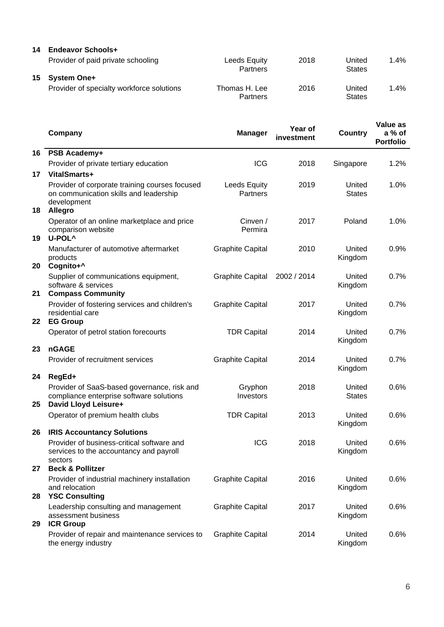### **14 Endeavor Schools+**

|    | Provider of paid private schooling        | Leeds Equity<br>Partners  | 2018 | United<br><b>States</b> | .4%    |
|----|-------------------------------------------|---------------------------|------|-------------------------|--------|
| 15 | <b>System One+</b>                        |                           |      |                         |        |
|    | Provider of specialty workforce solutions | Thomas H. Lee<br>Partners | 2016 | United<br><b>States</b> | $.4\%$ |

|    | Company                                                                                                                   | <b>Manager</b>                  | Year of<br>investment | <b>Country</b>          | Value as<br>a % of<br><b>Portfolio</b> |
|----|---------------------------------------------------------------------------------------------------------------------------|---------------------------------|-----------------------|-------------------------|----------------------------------------|
| 16 | PSB Academy+                                                                                                              |                                 |                       |                         |                                        |
|    | Provider of private tertiary education                                                                                    | <b>ICG</b>                      | 2018                  | Singapore               | 1.2%                                   |
| 17 | VitalSmarts+                                                                                                              |                                 |                       |                         |                                        |
| 18 | Provider of corporate training courses focused<br>on communication skills and leadership<br>development<br><b>Allegro</b> | <b>Leeds Equity</b><br>Partners | 2019                  | United<br><b>States</b> | 1.0%                                   |
| 19 | Operator of an online marketplace and price<br>comparison website<br>U-POL <sup>^</sup>                                   | Cinven /<br>Permira             | 2017                  | Poland                  | 1.0%                                   |
| 20 | Manufacturer of automotive aftermarket<br>products<br>Cognito+^                                                           | <b>Graphite Capital</b>         | 2010                  | United<br>Kingdom       | 0.9%                                   |
| 21 | Supplier of communications equipment,<br>software & services<br><b>Compass Community</b>                                  | <b>Graphite Capital</b>         | 2002 / 2014           | United<br>Kingdom       | 0.7%                                   |
| 22 | Provider of fostering services and children's<br>residential care<br><b>EG Group</b>                                      | <b>Graphite Capital</b>         | 2017                  | United<br>Kingdom       | 0.7%                                   |
|    | Operator of petrol station forecourts                                                                                     | <b>TDR Capital</b>              | 2014                  | United<br>Kingdom       | 0.7%                                   |
| 23 | <b>nGAGE</b>                                                                                                              |                                 |                       |                         |                                        |
|    | Provider of recruitment services                                                                                          | <b>Graphite Capital</b>         | 2014                  | United<br>Kingdom       | 0.7%                                   |
| 24 | RegEd+                                                                                                                    |                                 |                       |                         |                                        |
| 25 | Provider of SaaS-based governance, risk and<br>compliance enterprise software solutions<br>David Lloyd Leisure+           | Gryphon<br>Investors            | 2018                  | United<br><b>States</b> | 0.6%                                   |
|    | Operator of premium health clubs                                                                                          | <b>TDR Capital</b>              | 2013                  | United<br>Kingdom       | 0.6%                                   |
| 26 | <b>IRIS Accountancy Solutions</b>                                                                                         |                                 |                       |                         |                                        |
|    | Provider of business-critical software and<br>services to the accountancy and payroll<br>sectors                          | <b>ICG</b>                      | 2018                  | United<br>Kingdom       | 0.6%                                   |
| 27 | <b>Beck &amp; Pollitzer</b>                                                                                               |                                 |                       |                         |                                        |
| 28 | Provider of industrial machinery installation<br>and relocation<br><b>YSC Consulting</b>                                  | <b>Graphite Capital</b>         | 2016                  | United<br>Kingdom       | 0.6%                                   |
| 29 | Leadership consulting and management<br>assessment business<br><b>ICR Group</b>                                           | <b>Graphite Capital</b>         | 2017                  | United<br>Kingdom       | 0.6%                                   |
|    | Provider of repair and maintenance services to<br>the energy industry                                                     | <b>Graphite Capital</b>         | 2014                  | United<br>Kingdom       | 0.6%                                   |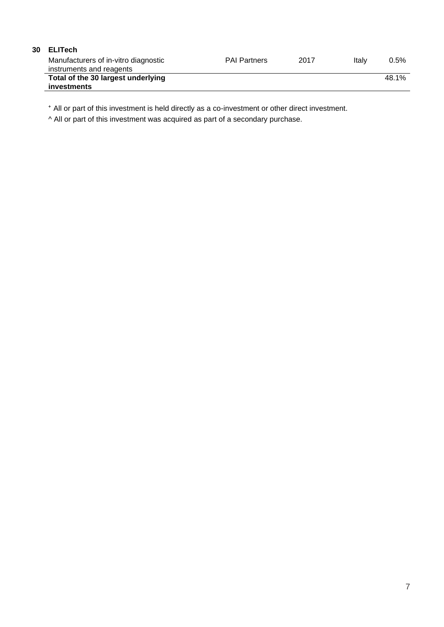# **30 ELITech**

| Manufacturers of in-vitro diagnostic<br>instruments and reagents | <b>PAI Partners</b> | 2017 | Italv | $0.5\%$ |
|------------------------------------------------------------------|---------------------|------|-------|---------|
| Total of the 30 largest underlying                               |                     |      |       | 48.1%   |
| investments                                                      |                     |      |       |         |

⁺ All or part of this investment is held directly as a co-investment or other direct investment.

^ All or part of this investment was acquired as part of a secondary purchase.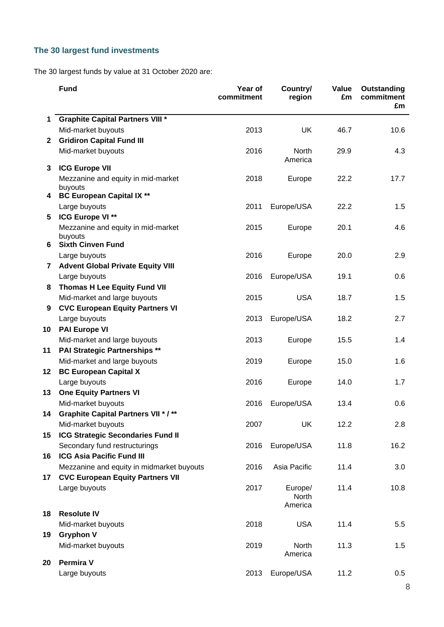# **The 30 largest fund investments**

The 30 largest funds by value at 31 October 2020 are:

|              | <b>Fund</b>                                   | Year of<br>commitment | Country/<br>region | Value<br>£m | Outstanding<br>commitment<br>£m |
|--------------|-----------------------------------------------|-----------------------|--------------------|-------------|---------------------------------|
| $\mathbf 1$  | <b>Graphite Capital Partners VIII *</b>       |                       |                    |             |                                 |
|              | Mid-market buyouts                            | 2013                  | <b>UK</b>          | 46.7        | 10.6                            |
| $\mathbf{2}$ | <b>Gridiron Capital Fund III</b>              |                       |                    |             |                                 |
|              | Mid-market buyouts                            | 2016                  | North<br>America   | 29.9        | 4.3                             |
| 3            | <b>ICG Europe VII</b>                         |                       |                    |             |                                 |
|              | Mezzanine and equity in mid-market<br>buyouts | 2018                  | Europe             | 22.2        | 17.7                            |
| 4            | <b>BC European Capital IX **</b>              |                       |                    |             |                                 |
|              | Large buyouts                                 | 2011                  | Europe/USA         | 22.2        | 1.5                             |
| 5            | ICG Europe VI **                              |                       |                    |             |                                 |
|              | Mezzanine and equity in mid-market<br>buyouts | 2015                  | Europe             | 20.1        | 4.6                             |
| 6            | <b>Sixth Cinven Fund</b>                      |                       |                    |             |                                 |
|              | Large buyouts                                 | 2016                  | Europe             | 20.0        | 2.9                             |
| $\mathbf{7}$ | <b>Advent Global Private Equity VIII</b>      |                       |                    |             |                                 |
|              | Large buyouts                                 | 2016                  | Europe/USA         | 19.1        | 0.6                             |
| 8            | <b>Thomas H Lee Equity Fund VII</b>           |                       |                    |             |                                 |
|              | Mid-market and large buyouts                  | 2015                  | <b>USA</b>         | 18.7        | 1.5                             |
| 9            | <b>CVC European Equity Partners VI</b>        |                       |                    |             |                                 |
|              | Large buyouts                                 | 2013                  | Europe/USA         | 18.2        | 2.7                             |
| 10           | <b>PAI Europe VI</b>                          |                       |                    |             |                                 |
|              | Mid-market and large buyouts                  | 2013                  | Europe             | 15.5        | 1.4                             |
| 11           | <b>PAI Strategic Partnerships **</b>          |                       |                    |             |                                 |
|              | Mid-market and large buyouts                  | 2019                  | Europe             | 15.0        | 1.6                             |
| 12           | <b>BC European Capital X</b>                  |                       |                    |             |                                 |
|              | Large buyouts                                 | 2016                  | Europe             | 14.0        | 1.7                             |
| 13           | <b>One Equity Partners VI</b>                 |                       |                    |             |                                 |
|              | Mid-market buyouts                            | 2016                  | Europe/USA         | 13.4        | 0.6                             |
| 14           | <b>Graphite Capital Partners VII * / **</b>   |                       |                    |             |                                 |
|              | Mid-market buyouts                            | 2007                  | <b>UK</b>          | 12.2        | 2.8                             |
| 15           | <b>ICG Strategic Secondaries Fund II</b>      |                       |                    |             |                                 |
|              | Secondary fund restructurings                 | 2016                  | Europe/USA         | 11.8        | 16.2                            |
| 16           | <b>ICG Asia Pacific Fund III</b>              |                       |                    |             |                                 |
|              | Mezzanine and equity in midmarket buyouts     | 2016                  | Asia Pacific       | 11.4        | 3.0                             |
| 17           | <b>CVC European Equity Partners VII</b>       |                       |                    |             |                                 |
|              | Large buyouts                                 | 2017                  | Europe/<br>North   | 11.4        | 10.8                            |
| 18           | <b>Resolute IV</b>                            |                       | America            |             |                                 |
|              | Mid-market buyouts                            | 2018                  | <b>USA</b>         | 11.4        | 5.5                             |
| 19           | <b>Gryphon V</b>                              |                       |                    |             |                                 |
|              | Mid-market buyouts                            | 2019                  | North<br>America   | 11.3        | 1.5                             |
| 20           | <b>Permira V</b>                              |                       |                    |             |                                 |
|              | Large buyouts                                 | 2013                  | Europe/USA         | 11.2        | 0.5                             |
|              |                                               |                       |                    |             |                                 |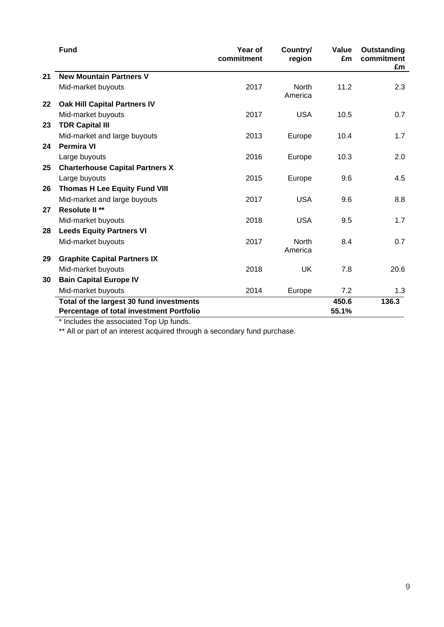|    | <b>Fund</b>                              | Year of<br>commitment | Country/<br>region      | Value<br>£m | Outstanding<br>commitment<br>£m |
|----|------------------------------------------|-----------------------|-------------------------|-------------|---------------------------------|
| 21 | <b>New Mountain Partners V</b>           |                       |                         |             |                                 |
|    | Mid-market buyouts                       | 2017                  | <b>North</b><br>America | 11.2        | 2.3                             |
| 22 | <b>Oak Hill Capital Partners IV</b>      |                       |                         |             |                                 |
|    | Mid-market buyouts                       | 2017                  | <b>USA</b>              | 10.5        | 0.7                             |
| 23 | <b>TDR Capital III</b>                   |                       |                         |             |                                 |
|    | Mid-market and large buyouts             | 2013                  | Europe                  | 10.4        | 1.7                             |
| 24 | <b>Permira VI</b>                        |                       |                         |             |                                 |
|    | Large buyouts                            | 2016                  | Europe                  | 10.3        | 2.0                             |
| 25 | <b>Charterhouse Capital Partners X</b>   |                       |                         |             |                                 |
|    | Large buyouts                            | 2015                  | Europe                  | 9.6         | 4.5                             |
| 26 | <b>Thomas H Lee Equity Fund VIII</b>     |                       |                         |             |                                 |
|    | Mid-market and large buyouts             | 2017                  | <b>USA</b>              | 9.6         | 8.8                             |
| 27 | Resolute II <sup>**</sup>                |                       |                         |             |                                 |
|    | Mid-market buyouts                       | 2018                  | <b>USA</b>              | 9.5         | 1.7                             |
| 28 | <b>Leeds Equity Partners VI</b>          |                       |                         |             |                                 |
|    | Mid-market buyouts                       | 2017                  | <b>North</b><br>America | 8.4         | 0.7                             |
| 29 | <b>Graphite Capital Partners IX</b>      |                       |                         |             |                                 |
|    | Mid-market buyouts                       | 2018                  | <b>UK</b>               | 7.8         | 20.6                            |
| 30 | <b>Bain Capital Europe IV</b>            |                       |                         |             |                                 |
|    | Mid-market buyouts                       | 2014                  | Europe                  | 7.2         | 1.3                             |
|    | Total of the largest 30 fund investments |                       |                         | 450.6       | 136.3                           |
|    | Percentage of total investment Portfolio |                       |                         | 55.1%       |                                 |

\* Includes the associated Top Up funds.

\*\* All or part of an interest acquired through a secondary fund purchase.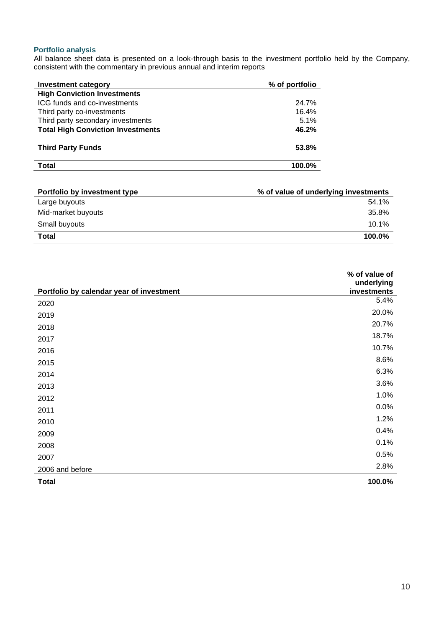### **Portfolio analysis**

All balance sheet data is presented on a look-through basis to the investment portfolio held by the Company, consistent with the commentary in previous annual and interim reports

| Investment category                      | % of portfolio |
|------------------------------------------|----------------|
| <b>High Conviction Investments</b>       |                |
| ICG funds and co-investments             | 24.7%          |
| Third party co-investments               | 16.4%          |
| Third party secondary investments        | 5.1%           |
| <b>Total High Conviction Investments</b> | 46.2%          |
| <b>Third Party Funds</b>                 | 53.8%          |
| Total                                    | 100.0%         |

| Portfolio by investment type | % of value of underlying investments |
|------------------------------|--------------------------------------|
| Large buyouts                | 54.1%                                |
| Mid-market buyouts           | 35.8%                                |
| Small buyouts                | $10.1\%$                             |
| <b>Total</b>                 | 100.0%                               |

|                                          | % of value of<br>underlying |
|------------------------------------------|-----------------------------|
| Portfolio by calendar year of investment | investments                 |
| 2020                                     | 5.4%                        |
| 2019                                     | 20.0%                       |
| 2018                                     | 20.7%                       |
| 2017                                     | 18.7%                       |
| 2016                                     | 10.7%                       |
| 2015                                     | 8.6%                        |
| 2014                                     | 6.3%                        |
| 2013                                     | 3.6%                        |
| 2012                                     | 1.0%                        |
| 2011                                     | 0.0%                        |
| 2010                                     | 1.2%                        |
| 2009                                     | 0.4%                        |
| 2008                                     | 0.1%                        |
| 2007                                     | 0.5%                        |
| 2006 and before                          | 2.8%                        |
| <b>Total</b>                             | 100.0%                      |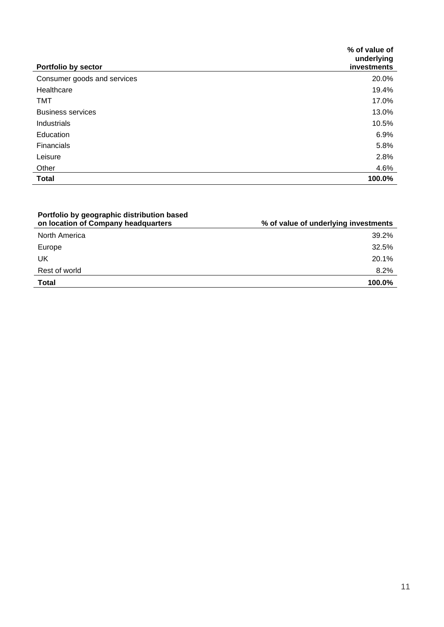|                             | % of value of<br>underlying |
|-----------------------------|-----------------------------|
| <b>Portfolio by sector</b>  | investments                 |
| Consumer goods and services | 20.0%                       |
| Healthcare                  | 19.4%                       |
| TMT                         | 17.0%                       |
| <b>Business services</b>    | 13.0%                       |
| Industrials                 | 10.5%                       |
| Education                   | 6.9%                        |
| Financials                  | 5.8%                        |
| Leisure                     | 2.8%                        |
| Other                       | 4.6%                        |
| <b>Total</b>                | 100.0%                      |

| Portfolio by geographic distribution based<br>on location of Company headquarters | % of value of underlying investments |
|-----------------------------------------------------------------------------------|--------------------------------------|
| North America                                                                     | 39.2%                                |
| Europe                                                                            | 32.5%                                |
| UK                                                                                | 20.1%                                |
| Rest of world                                                                     | 8.2%                                 |
| <b>Total</b>                                                                      | 100.0%                               |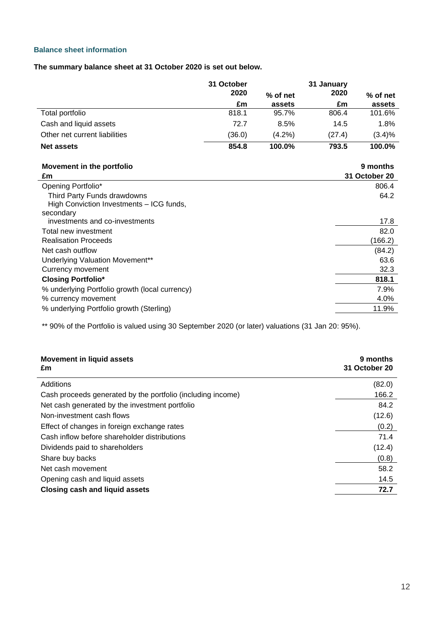## **Balance sheet information**

**The summary balance sheet at 31 October 2020 is set out below.**

|                                                | 31 October<br>2020 |                    | 31 January<br>2020 |                      |
|------------------------------------------------|--------------------|--------------------|--------------------|----------------------|
|                                                | £m                 | % of net<br>assets | £m                 | $%$ of net<br>assets |
| Total portfolio                                | 818.1              | 95.7%              | 806.4              | 101.6%               |
| Cash and liquid assets                         | 72.7               | 8.5%               | 14.5               | 1.8%                 |
| Other net current liabilities                  | (36.0)             | $(4.2\%)$          | (27.4)             | (3.4)%               |
| <b>Net assets</b>                              | 854.8              | 100.0%             | 793.5              | 100.0%               |
| Movement in the portfolio                      |                    |                    |                    | 9 months             |
| £m                                             |                    |                    |                    | 31 October 20        |
| Opening Portfolio*                             |                    |                    |                    | 806.4                |
| Third Party Funds drawdowns                    |                    |                    |                    | 64.2                 |
| High Conviction Investments - ICG funds,       |                    |                    |                    |                      |
| secondary                                      |                    |                    |                    |                      |
| investments and co-investments                 |                    |                    |                    | 17.8                 |
| Total new investment                           |                    |                    |                    | 82.0                 |
| <b>Realisation Proceeds</b>                    |                    |                    |                    | (166.2)              |
| Net cash outflow                               |                    |                    |                    | (84.2)               |
| Underlying Valuation Movement**                |                    |                    |                    | 63.6                 |
| Currency movement                              |                    |                    |                    | 32.3                 |
| <b>Closing Portfolio*</b>                      |                    |                    |                    | 818.1                |
| % underlying Portfolio growth (local currency) |                    |                    |                    | 7.9%                 |
| % currency movement                            |                    |                    |                    | 4.0%                 |
| % underlying Portfolio growth (Sterling)       |                    |                    |                    | 11.9%                |

\*\* 90% of the Portfolio is valued using 30 September 2020 (or later) valuations (31 Jan 20: 95%).

| <b>Movement in liquid assets</b><br>£m                      | 9 months<br>31 October 20 |
|-------------------------------------------------------------|---------------------------|
| Additions                                                   | (82.0)                    |
| Cash proceeds generated by the portfolio (including income) | 166.2                     |
| Net cash generated by the investment portfolio              | 84.2                      |
| Non-investment cash flows                                   | (12.6)                    |
| Effect of changes in foreign exchange rates                 | (0.2)                     |
| Cash inflow before shareholder distributions                | 71.4                      |
| Dividends paid to shareholders                              | (12.4)                    |
| Share buy backs                                             | (0.8)                     |
| Net cash movement                                           | 58.2                      |
| Opening cash and liquid assets                              | 14.5                      |
| <b>Closing cash and liquid assets</b>                       | 72.7                      |